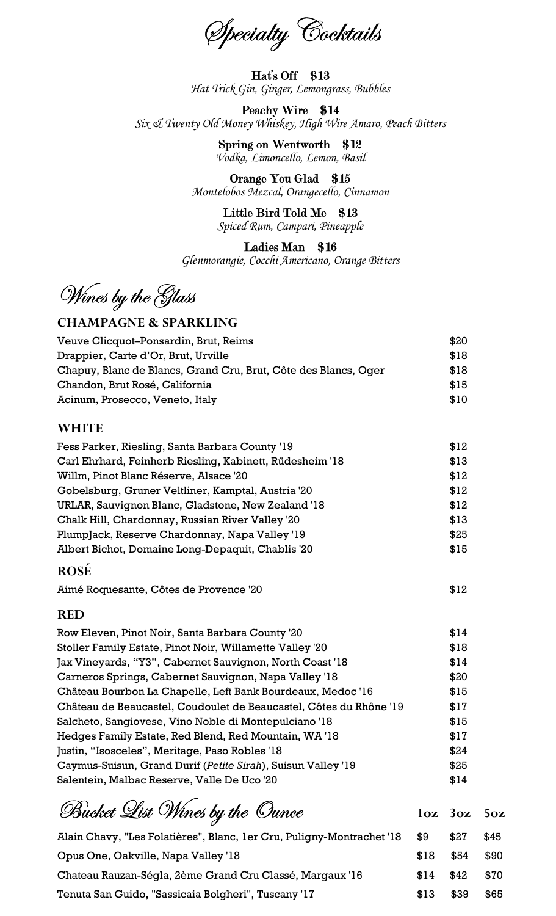Specialty Cocktails

Hat's Off \$13 Hat Trick Gin, Ginger, Lemongrass, Bubbles

Peachy Wire \$14 Six & Twenty Old Money Whiskey, High Wire Amaro, Peach Bitters

> Spring on Wentworth \$12 Vodka, Limoncello, Lemon, Basil

Orange You Glad \$15 Montelobos Mezcal, Orangecello, Cinnamon

Little Bird Told Me \$13 Spiced Rum, Campari, Pineapple

Ladies Man \$16 Glenmorangie, Cocchi Americano, Orange Bitters

Wines by the Glass

### CHAMPAGNE & SPARKLING

| Veuve Clicquot-Ponsardin, Brut, Reims                           | \$20 |
|-----------------------------------------------------------------|------|
| Drappier, Carte d'Or, Brut, Urville                             | \$18 |
| Chapuy, Blanc de Blancs, Grand Cru, Brut, Côte des Blancs, Oger | \$18 |
| Chandon, Brut Rosé, California                                  | \$15 |
| Acinum, Prosecco, Veneto, Italy                                 | \$10 |

### WHITE

| Fess Parker, Riesling, Santa Barbara County '19          | \$12 |
|----------------------------------------------------------|------|
| Carl Ehrhard, Feinherb Riesling, Kabinett, Rüdesheim '18 | \$13 |
| Willm, Pinot Blanc Réserve, Alsace '20                   | \$12 |
| Gobelsburg, Gruner Veltliner, Kamptal, Austria '20       | \$12 |
| URLAR, Sauvignon Blanc, Gladstone, New Zealand '18       | \$12 |
| Chalk Hill, Chardonnay, Russian River Valley '20         | \$13 |
| PlumpJack, Reserve Chardonnay, Napa Valley '19           | \$25 |
| Albert Bichot, Domaine Long-Depaquit, Chablis '20        | \$15 |
|                                                          |      |

#### ROSÉ

Aimé Roquesante, Côtes de Provence '20 **\$12** 

#### RED

| Row Eleven, Pinot Noir, Santa Barbara County '20                   | \$14 |
|--------------------------------------------------------------------|------|
| Stoller Family Estate, Pinot Noir, Willamette Valley '20           | \$18 |
| Jax Vineyards, "Y3", Cabernet Sauvignon, North Coast '18           | \$14 |
| Carneros Springs, Cabernet Sauvignon, Napa Valley '18              | \$20 |
| Château Bourbon La Chapelle, Left Bank Bourdeaux, Medoc '16        | \$15 |
| Château de Beaucastel, Coudoulet de Beaucastel, Côtes du Rhône '19 | \$17 |
| Salcheto, Sangiovese, Vino Noble di Montepulciano '18              | \$15 |
| Hedges Family Estate, Red Blend, Red Mountain, WA '18              | \$17 |
| Justin, "Isosceles", Meritage, Paso Robles '18                     | \$24 |
| Caymus-Suisun, Grand Durif (Petite Sirah), Suisun Valley '19       | \$25 |
| Salentein, Malbac Reserve, Valle De Uco '20                        | \$14 |

| Bucket List Wines by the Ounce                                        |           | $1oz$ $3oz$ $5oz$ |      |
|-----------------------------------------------------------------------|-----------|-------------------|------|
| Alain Chavy, "Les Folatières", Blanc, 1er Cru, Puligny-Montrachet '18 | \$9       | \$27              | \$45 |
| Opus One, Oakville, Napa Valley '18                                   | \$18 \$54 |                   | \$90 |
| Chateau Rauzan-Ségla, 2ème Grand Cru Classé, Margaux '16              | \$14      | \$42              | \$70 |
| Tenuta San Guido, "Sassicaia Bolgheri", Tuscany '17                   | \$13      | \$39              | \$65 |